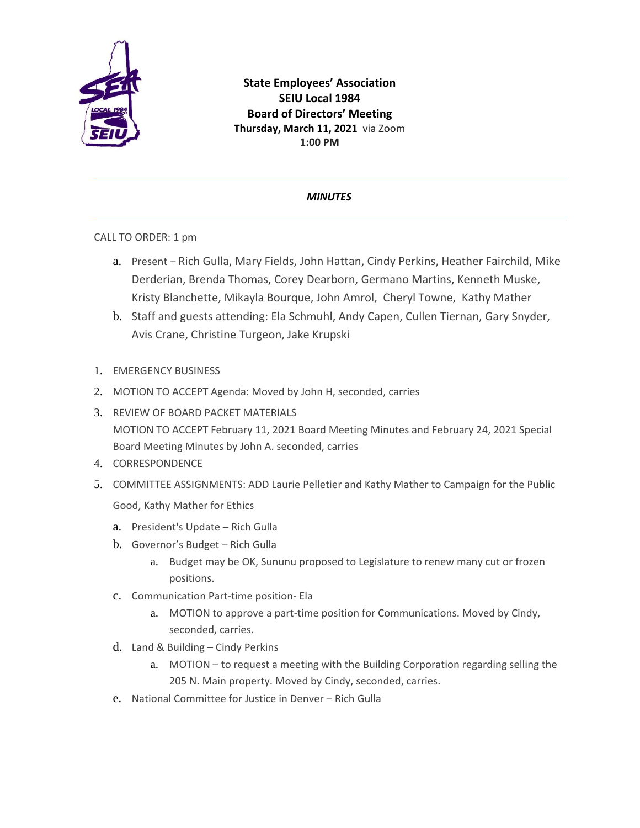

**State Employees' Association SEIU Local 1984 Board of Directors' Meeting Thursday, March 11, 2021** via Zoom **1:00 PM**

## *MINUTES*

CALL TO ORDER: 1 pm

- a. Present Rich Gulla, Mary Fields, John Hattan, Cindy Perkins, Heather Fairchild, Mike Derderian, Brenda Thomas, Corey Dearborn, Germano Martins, Kenneth Muske, Kristy Blanchette, Mikayla Bourque, John Amrol, Cheryl Towne, Kathy Mather
- b. Staff and guests attending: Ela Schmuhl, Andy Capen, Cullen Tiernan, Gary Snyder, Avis Crane, Christine Turgeon, Jake Krupski
- 1. EMERGENCY BUSINESS
- 2. MOTION TO ACCEPT Agenda: Moved by John H, seconded, carries
- 3. REVIEW OF BOARD PACKET MATERIALS MOTION TO ACCEPT February 11, 2021 Board Meeting Minutes and February 24, 2021 Special Board Meeting Minutes by John A. seconded, carries
- 4. CORRESPONDENCE
- 5. COMMITTEE ASSIGNMENTS: ADD Laurie Pelletier and Kathy Mather to Campaign for the Public Good, Kathy Mather for Ethics
	- a. President's Update Rich Gulla
	- b. Governor's Budget Rich Gulla
		- a. Budget may be OK, Sununu proposed to Legislature to renew many cut or frozen positions.
	- c. Communication Part-time position- Ela
		- a. MOTION to approve a part-time position for Communications. Moved by Cindy, seconded, carries.
	- d. Land & Building Cindy Perkins
		- a. MOTION to request a meeting with the Building Corporation regarding selling the 205 N. Main property. Moved by Cindy, seconded, carries.
	- e. National Committee for Justice in Denver Rich Gulla